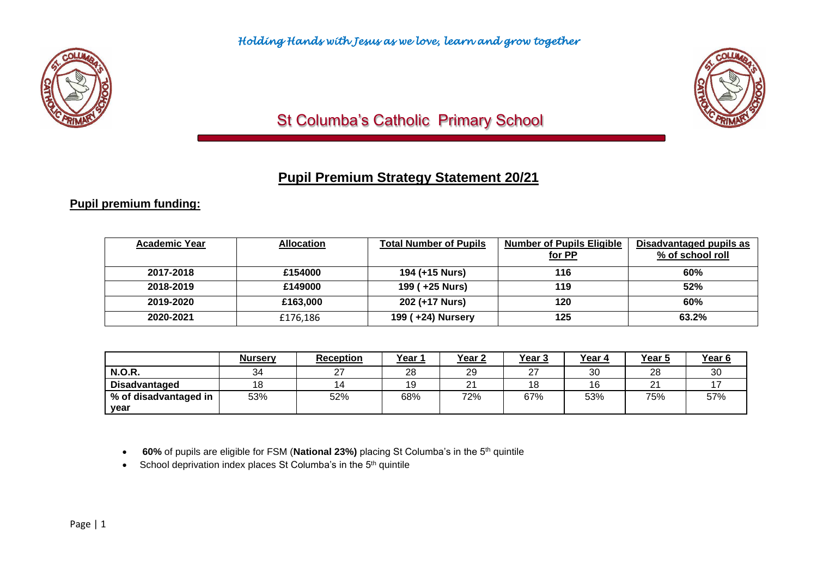

# St Columba's Catholic Primary School

# **Pupil Premium Strategy Statement 20/21**

## **Pupil premium funding:**

| <b>Academic Year</b> | <b>Allocation</b> | <b>Total Number of Pupils</b> | <b>Number of Pupils Eligible</b> | Disadvantaged pupils as |
|----------------------|-------------------|-------------------------------|----------------------------------|-------------------------|
|                      |                   |                               | for PP                           | % of school roll        |
| 2017-2018            | £154000           | 194 (+15 Nurs)                | 116                              | 60%                     |
| 2018-2019            | £149000           | 199 (+25 Nurs)                | 119                              | 52%                     |
| 2019-2020            | £163,000          | 202 (+17 Nurs)                | 120                              | 60%                     |
| 2020-2021            | £176,186          | 199 (+24) Nursery             | 125                              | 63.2%                   |

|                       | <b>Nursery</b> | <b>Reception</b> | Year 1 | Year <sub>2</sub> | <u>Year 3</u>      | Year 4   | Year 5        | Year <sub>6</sub> |
|-----------------------|----------------|------------------|--------|-------------------|--------------------|----------|---------------|-------------------|
| <b>N.O.R.</b>         | 34             | $\sim$           | 28     | 29                | $\sim$<br><u>_</u> | ঽ∩<br>υu | 28            | 30                |
| <b>Disadvantaged</b>  | 18             |                  | 19     | ິ<br><u>.</u>     | 18                 | 16       | ິ<br><u>_</u> |                   |
| % of disadvantaged in | 53%            | 52%              | 68%    | 72%               | 67%                | 53%      | 75%           | 57%               |
| vear                  |                |                  |        |                   |                    |          |               |                   |

• **60%** of pupils are eligible for FSM (National 23%) placing St Columba's in the 5<sup>th</sup> quintile

• School deprivation index places St Columba's in the 5<sup>th</sup> quintile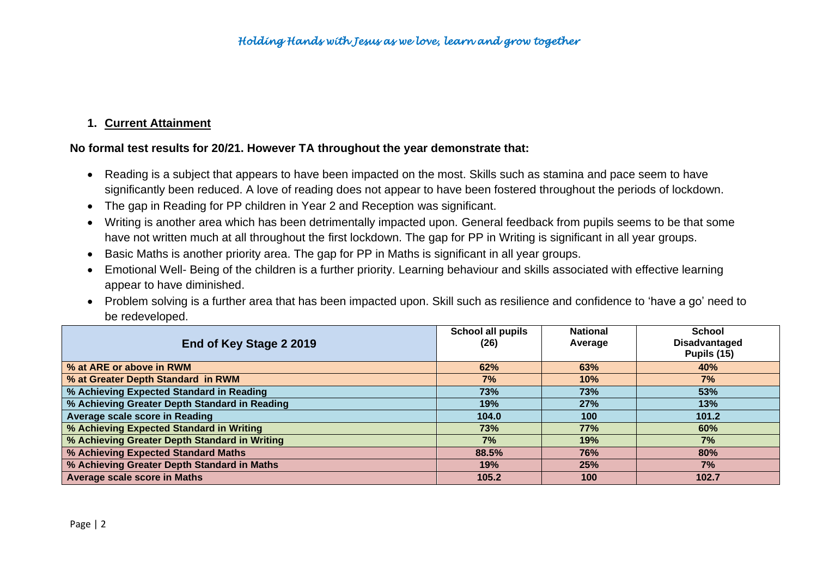## **1. Current Attainment**

### **No formal test results for 20/21. However TA throughout the year demonstrate that:**

- Reading is a subject that appears to have been impacted on the most. Skills such as stamina and pace seem to have significantly been reduced. A love of reading does not appear to have been fostered throughout the periods of lockdown.
- The gap in Reading for PP children in Year 2 and Reception was significant.
- Writing is another area which has been detrimentally impacted upon. General feedback from pupils seems to be that some have not written much at all throughout the first lockdown. The gap for PP in Writing is significant in all year groups.
- Basic Maths is another priority area. The gap for PP in Maths is significant in all year groups.
- Emotional Well- Being of the children is a further priority. Learning behaviour and skills associated with effective learning appear to have diminished.
- Problem solving is a further area that has been impacted upon. Skill such as resilience and confidence to 'have a go' need to be redeveloped.

|                                               | School all pupils | <b>National</b> | <b>School</b>        |
|-----------------------------------------------|-------------------|-----------------|----------------------|
| End of Key Stage 2 2019                       | (26)              | Average         | <b>Disadvantaged</b> |
|                                               |                   |                 | Pupils (15)          |
| % at ARE or above in RWM                      | 62%               | 63%             | 40%                  |
| % at Greater Depth Standard in RWM            | 7%                | 10%             | 7%                   |
| % Achieving Expected Standard in Reading      | 73%               | 73%             | 53%                  |
| % Achieving Greater Depth Standard in Reading | 19%               | 27%             | 13%                  |
| Average scale score in Reading                | 104.0             | 100             | 101.2                |
| % Achieving Expected Standard in Writing      | 73%               | 77%             | 60%                  |
| % Achieving Greater Depth Standard in Writing | 7%                | 19%             | 7%                   |
| % Achieving Expected Standard Maths           | 88.5%             | 76%             | 80%                  |
| % Achieving Greater Depth Standard in Maths   | 19%               | 25%             | 7%                   |
| <b>Average scale score in Maths</b>           | 105.2             | 100             | 102.7                |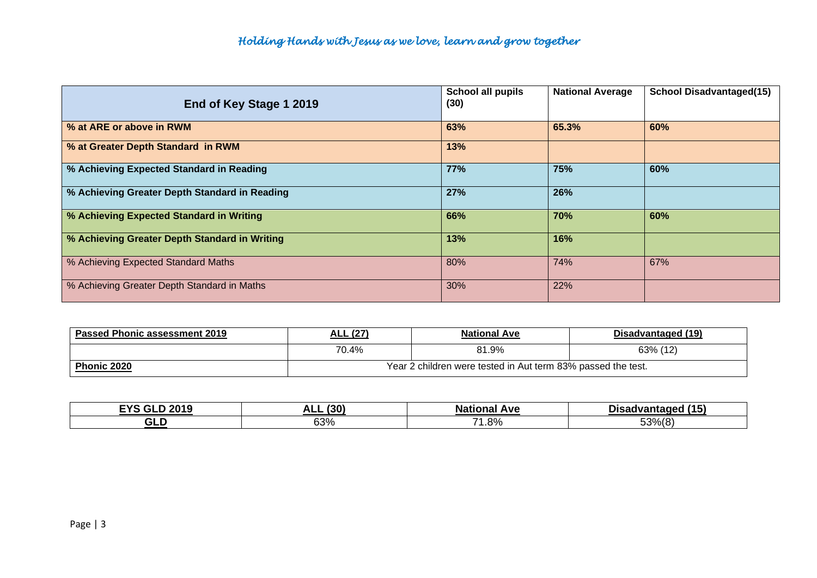| End of Key Stage 1 2019                       | School all pupils<br>(30) | <b>National Average</b> | <b>School Disadvantaged(15)</b> |
|-----------------------------------------------|---------------------------|-------------------------|---------------------------------|
| % at ARE or above in RWM                      | 63%                       | 65.3%                   | 60%                             |
| % at Greater Depth Standard in RWM            | 13%                       |                         |                                 |
| % Achieving Expected Standard in Reading      | 77%                       | 75%                     | 60%                             |
| % Achieving Greater Depth Standard in Reading | 27%                       | 26%                     |                                 |
| % Achieving Expected Standard in Writing      | 66%                       | 70%                     | 60%                             |
| % Achieving Greater Depth Standard in Writing | 13%                       | 16%                     |                                 |
| % Achieving Expected Standard Maths           | 80%                       | 74%                     | 67%                             |
| % Achieving Greater Depth Standard in Maths   | 30%                       | 22%                     |                                 |

| <b>Passed Phonic assessment 2019</b> | <b>ALL (27)</b>                                              | <b>National Ave</b> | Disadvantaged (19) |  |
|--------------------------------------|--------------------------------------------------------------|---------------------|--------------------|--|
|                                      | 70.4%                                                        | 81.9%               | 63% (12)           |  |
| <b>Phonic 2020</b>                   | Year 2 children were tested in Aut term 83% passed the test. |                     |                    |  |

| cvc<br>nne n<br>$\sim$<br>- 1 -<br>ZU IJ | (30)<br>л І<br>∼⊾⊾ | 52000<br>Ave<br>Νа   | (15)<br>∩isadvantage<br>wan      |
|------------------------------------------|--------------------|----------------------|----------------------------------|
| --<br>21.<br>ᄓ니                          | 0.001<br>სა%       | $\rightarrow$<br>.8% | 53%<br>$\sqrt{2}$<br>,,,,<br>___ |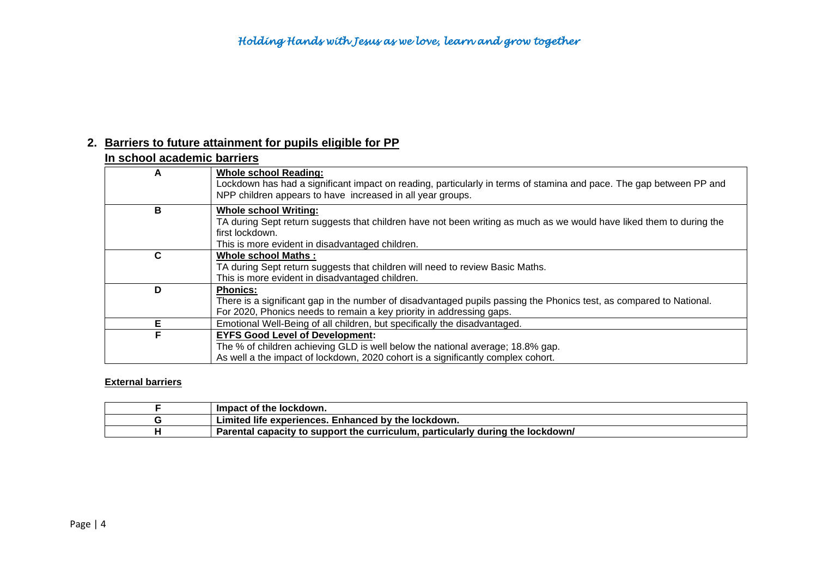### **2. Barriers to future attainment for pupils eligible for PP**

|   | In school academic barriers                                                                                                                                                                                                |  |  |  |  |
|---|----------------------------------------------------------------------------------------------------------------------------------------------------------------------------------------------------------------------------|--|--|--|--|
| A | <b>Whole school Reading:</b><br>Lockdown has had a significant impact on reading, particularly in terms of stamina and pace. The gap between PP and<br>NPP children appears to have increased in all year groups.          |  |  |  |  |
| в | <b>Whole school Writing:</b><br>TA during Sept return suggests that children have not been writing as much as we would have liked them to during the<br>first lockdown.<br>This is more evident in disadvantaged children. |  |  |  |  |
| C | <b>Whole school Maths:</b><br>TA during Sept return suggests that children will need to review Basic Maths.<br>This is more evident in disadvantaged children.                                                             |  |  |  |  |
| D | <b>Phonics:</b><br>There is a significant gap in the number of disadvantaged pupils passing the Phonics test, as compared to National.<br>For 2020, Phonics needs to remain a key priority in addressing gaps.             |  |  |  |  |
| Е | Emotional Well-Being of all children, but specifically the disadvantaged.                                                                                                                                                  |  |  |  |  |
| F | <b>EYFS Good Level of Development:</b><br>The % of children achieving GLD is well below the national average; 18.8% gap.<br>As well a the impact of lockdown, 2020 cohort is a significantly complex cohort.               |  |  |  |  |

### **External barriers**

| Impact of the lockdown.                                                        |
|--------------------------------------------------------------------------------|
| Limited life experiences. Enhanced by the lockdown.                            |
| Parental capacity to support the curriculum, particularly during the lockdown/ |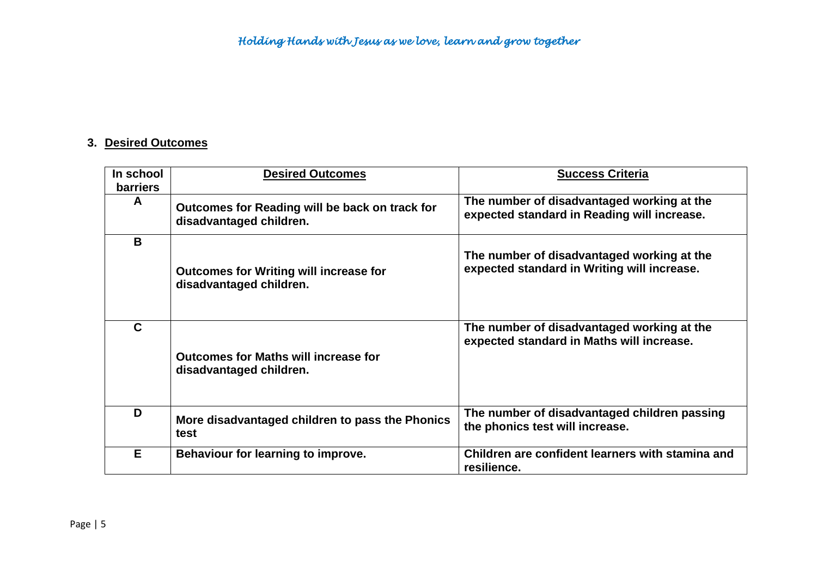### **3. Desired Outcomes**

| In school<br><b>barriers</b> | <b>Desired Outcomes</b>                                                   | <b>Success Criteria</b>                                                                   |
|------------------------------|---------------------------------------------------------------------------|-------------------------------------------------------------------------------------------|
| A                            | Outcomes for Reading will be back on track for<br>disadvantaged children. | The number of disadvantaged working at the<br>expected standard in Reading will increase. |
| B                            | <b>Outcomes for Writing will increase for</b><br>disadvantaged children.  | The number of disadvantaged working at the<br>expected standard in Writing will increase. |
| C                            | <b>Outcomes for Maths will increase for</b><br>disadvantaged children.    | The number of disadvantaged working at the<br>expected standard in Maths will increase.   |
| D                            | More disadvantaged children to pass the Phonics<br>test                   | The number of disadvantaged children passing<br>the phonics test will increase.           |
| E                            | Behaviour for learning to improve.                                        | Children are confident learners with stamina and<br>resilience.                           |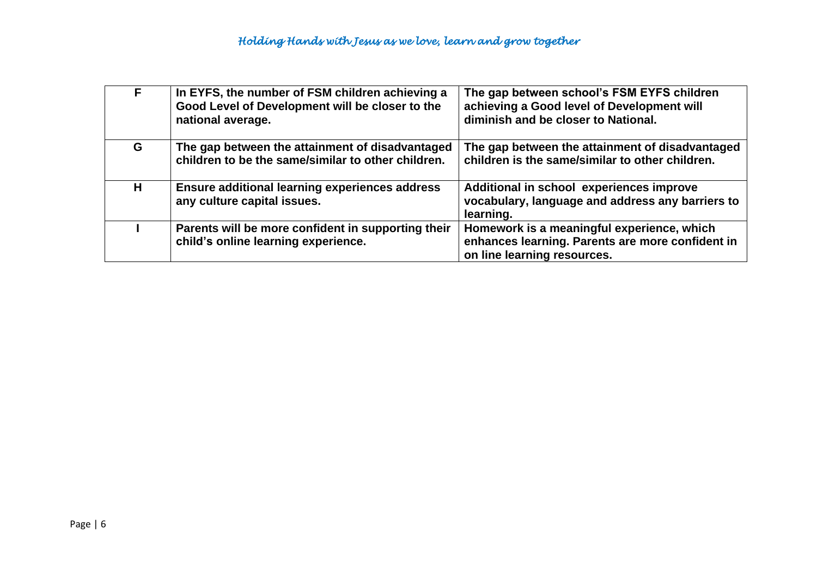| F. | In EYFS, the number of FSM children achieving a<br>Good Level of Development will be closer to the<br>national average. | The gap between school's FSM EYFS children<br>achieving a Good level of Development will<br>diminish and be closer to National. |
|----|-------------------------------------------------------------------------------------------------------------------------|---------------------------------------------------------------------------------------------------------------------------------|
| G  | The gap between the attainment of disadvantaged<br>children to be the same/similar to other children.                   | The gap between the attainment of disadvantaged<br>children is the same/similar to other children.                              |
| H  | <b>Ensure additional learning experiences address</b><br>any culture capital issues.                                    | Additional in school experiences improve<br>vocabulary, language and address any barriers to<br>learning.                       |
|    | Parents will be more confident in supporting their<br>child's online learning experience.                               | Homework is a meaningful experience, which<br>enhances learning. Parents are more confident in<br>on line learning resources.   |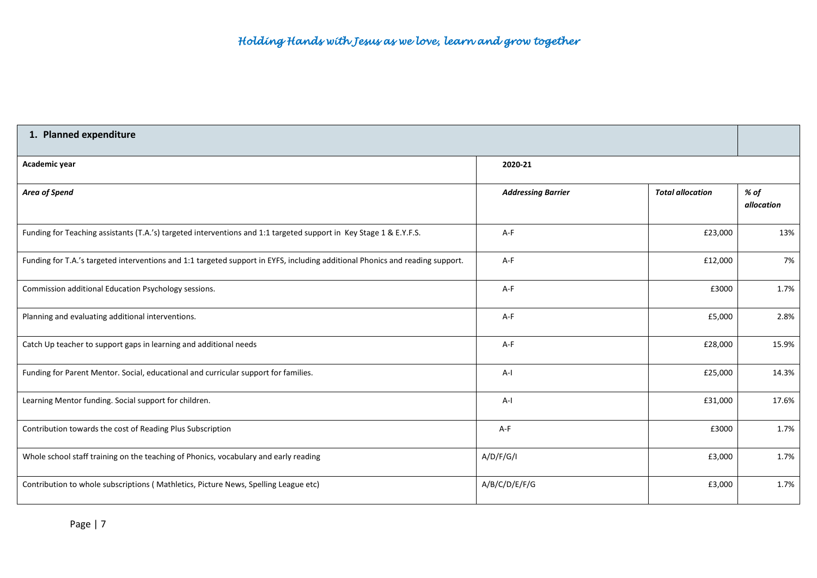| 1. Planned expenditure                                                                                                        |                           |                         |                    |  |
|-------------------------------------------------------------------------------------------------------------------------------|---------------------------|-------------------------|--------------------|--|
| Academic year                                                                                                                 | 2020-21                   |                         |                    |  |
| Area of Spend                                                                                                                 | <b>Addressing Barrier</b> | <b>Total allocation</b> | % of<br>allocation |  |
| Funding for Teaching assistants (T.A.'s) targeted interventions and 1:1 targeted support in Key Stage 1 & E.Y.F.S.            | A-F                       | £23,000                 | 13%                |  |
| Funding for T.A.'s targeted interventions and 1:1 targeted support in EYFS, including additional Phonics and reading support. | A-F                       | £12,000                 | 7%                 |  |
| Commission additional Education Psychology sessions.                                                                          | A-F                       | £3000                   | 1.7%               |  |
| Planning and evaluating additional interventions.                                                                             | A-F                       | £5,000                  | 2.8%               |  |
| Catch Up teacher to support gaps in learning and additional needs                                                             | A-F                       | £28,000                 | 15.9%              |  |
| Funding for Parent Mentor. Social, educational and curricular support for families.                                           | $A-I$                     | £25,000                 | 14.3%              |  |
| Learning Mentor funding. Social support for children.                                                                         | $A-I$                     | £31,000                 | 17.6%              |  |
| Contribution towards the cost of Reading Plus Subscription                                                                    | A-F                       | £3000                   | 1.7%               |  |
| Whole school staff training on the teaching of Phonics, vocabulary and early reading                                          | A/D/F/G/I                 | £3,000                  | 1.7%               |  |
| Contribution to whole subscriptions (Mathletics, Picture News, Spelling League etc)                                           | A/B/C/D/E/F/G             | £3,000                  | 1.7%               |  |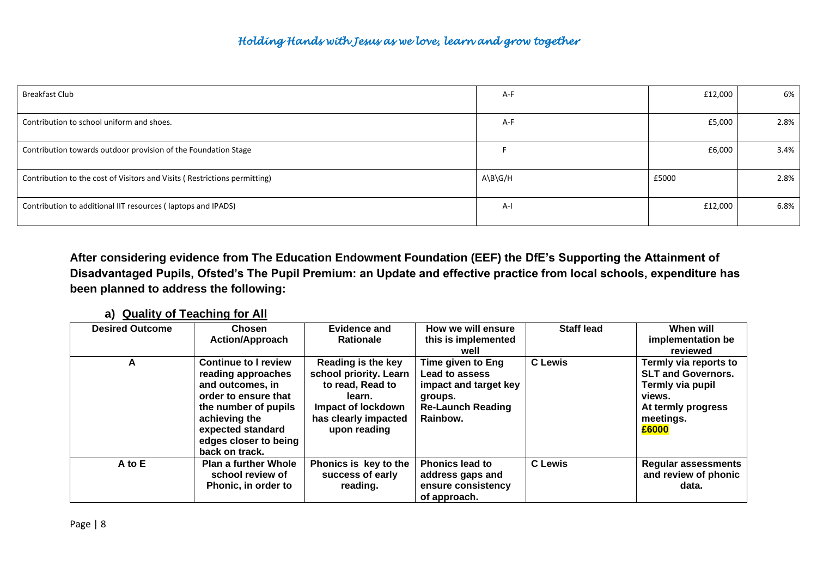| <b>Breakfast Club</b>                                                     | A-F     | £12,000 | 6%   |
|---------------------------------------------------------------------------|---------|---------|------|
| Contribution to school uniform and shoes.                                 | A-F     | £5,000  | 2.8% |
| Contribution towards outdoor provision of the Foundation Stage            |         | £6,000  | 3.4% |
| Contribution to the cost of Visitors and Visits (Restrictions permitting) | A\B\G/H | £5000   | 2.8% |
| Contribution to additional IIT resources (laptops and IPADS)              | A-l     | £12,000 | 6.8% |

**After considering evidence from The Education Endowment Foundation (EEF) the DfE's Supporting the Attainment of Disadvantaged Pupils, Ofsted's The Pupil Premium: an Update and effective practice from local schools, expenditure has been planned to address the following:**

### **a) Quality of Teaching for All**

| <b>Desired Outcome</b> | <b>Chosen</b>                                                                                                                                                                                          | Evidence and                                                                                                                             | How we will ensure                                                                                                     | <b>Staff lead</b> | When will                                                                                                                    |
|------------------------|--------------------------------------------------------------------------------------------------------------------------------------------------------------------------------------------------------|------------------------------------------------------------------------------------------------------------------------------------------|------------------------------------------------------------------------------------------------------------------------|-------------------|------------------------------------------------------------------------------------------------------------------------------|
|                        | <b>Action/Approach</b>                                                                                                                                                                                 | <b>Rationale</b>                                                                                                                         | this is implemented<br>well                                                                                            |                   | implementation be<br>reviewed                                                                                                |
| А                      | <b>Continue to I review</b><br>reading approaches<br>and outcomes, in<br>order to ensure that<br>the number of pupils<br>achieving the<br>expected standard<br>edges closer to being<br>back on track. | Reading is the key<br>school priority. Learn<br>to read, Read to<br>learn.<br>Impact of lockdown<br>has clearly impacted<br>upon reading | Time given to Eng<br><b>Lead to assess</b><br>impact and target key<br>groups.<br><b>Re-Launch Reading</b><br>Rainbow. | <b>C</b> Lewis    | Termly via reports to<br><b>SLT and Governors.</b><br>Termly via pupil<br>views.<br>At termly progress<br>meetings.<br>£6000 |
| A to E                 | Plan a further Whole<br>school review of<br>Phonic, in order to                                                                                                                                        | Phonics is key to the<br>success of early<br>reading.                                                                                    | <b>Phonics lead to</b><br>address gaps and<br>ensure consistency<br>of approach.                                       | <b>C</b> Lewis    | <b>Regular assessments</b><br>and review of phonic<br>data.                                                                  |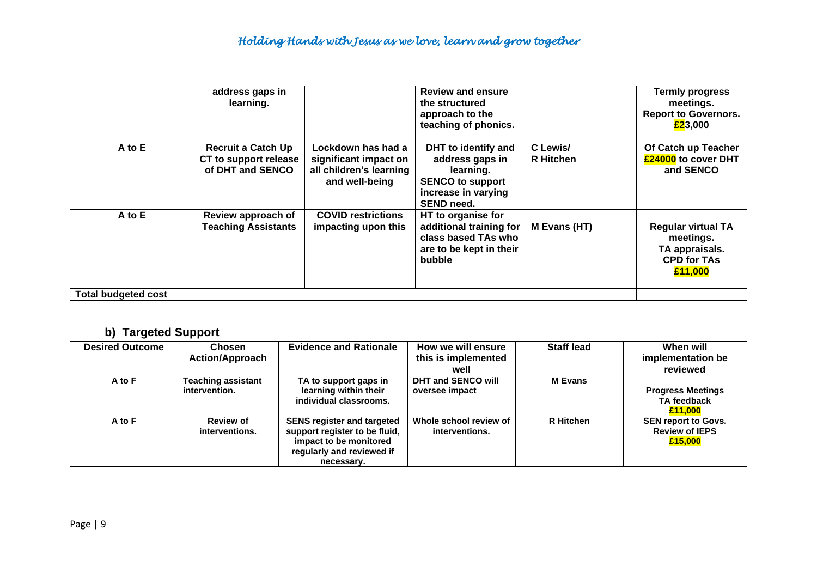|                            | address gaps in<br>learning.                                           |                                                                                          | <b>Review and ensure</b><br>the structured<br>approach to the<br>teaching of phonics.                                      |                              | <b>Termly progress</b><br>meetings.<br><b>Report to Governors.</b><br>£23,000             |
|----------------------------|------------------------------------------------------------------------|------------------------------------------------------------------------------------------|----------------------------------------------------------------------------------------------------------------------------|------------------------------|-------------------------------------------------------------------------------------------|
| A to E                     | <b>Recruit a Catch Up</b><br>CT to support release<br>of DHT and SENCO | Lockdown has had a<br>significant impact on<br>all children's learning<br>and well-being | DHT to identify and<br>address gaps in<br>learning.<br><b>SENCO to support</b><br>increase in varying<br><b>SEND need.</b> | C Lewis/<br><b>R</b> Hitchen | Of Catch up Teacher<br>£24000 to cover DHT<br>and SENCO                                   |
| A to E                     | Review approach of<br><b>Teaching Assistants</b>                       | <b>COVID restrictions</b><br>impacting upon this                                         | HT to organise for<br>additional training for<br>class based TAs who<br>are to be kept in their<br>bubble                  | M Evans (HT)                 | <b>Regular virtual TA</b><br>meetings.<br>TA appraisals.<br><b>CPD for TAs</b><br>£11,000 |
|                            |                                                                        |                                                                                          |                                                                                                                            |                              |                                                                                           |
| <b>Total budgeted cost</b> |                                                                        |                                                                                          |                                                                                                                            |                              |                                                                                           |

# **b) Targeted Support**

| <b>Desired Outcome</b> | <b>Chosen</b><br><b>Action/Approach</b> | <b>Evidence and Rationale</b>                                                                                                           | How we will ensure<br>this is implemented<br>well | <b>Staff lead</b> | When will<br>implementation be<br>reviewed                     |
|------------------------|-----------------------------------------|-----------------------------------------------------------------------------------------------------------------------------------------|---------------------------------------------------|-------------------|----------------------------------------------------------------|
| A to F                 | Teaching assistant<br>intervention.     | TA to support gaps in<br>learning within their<br>individual classrooms.                                                                | <b>DHT and SENCO will</b><br>oversee impact       | <b>M</b> Evans    | <b>Progress Meetings</b><br><b>TA</b> feedback<br>£11.000      |
| A to F                 | <b>Review of</b><br>interventions.      | <b>SENS register and targeted</b><br>support register to be fluid,<br>impact to be monitored<br>regularly and reviewed if<br>necessary. | Whole school review of<br>interventions.          | <b>R</b> Hitchen  | <b>SEN report to Govs.</b><br><b>Review of IEPS</b><br>£15,000 |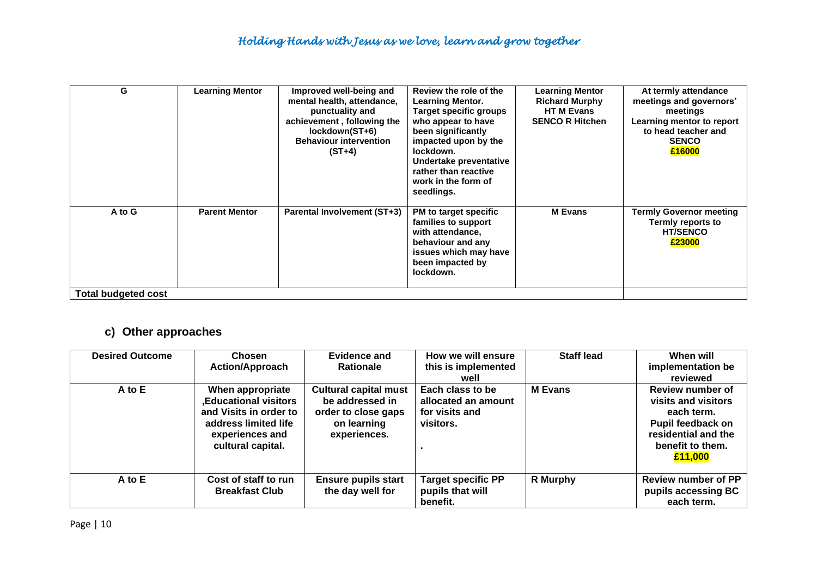| G                   | <b>Learning Mentor</b> | Improved well-being and<br>mental health, attendance,<br>punctuality and<br>achievement, following the<br>lockdown(ST+6)<br><b>Behaviour intervention</b><br>$(ST+4)$ | Review the role of the<br><b>Learning Mentor.</b><br>Target specific groups<br>who appear to have<br>been significantly<br>impacted upon by the<br>lockdown.<br>Undertake preventative<br>rather than reactive<br>work in the form of<br>seedlings. | <b>Learning Mentor</b><br><b>Richard Murphy</b><br><b>HTM Evans</b><br><b>SENCO R Hitchen</b> | At termly attendance<br>meetings and governors'<br>meetings<br>Learning mentor to report<br>to head teacher and<br><b>SENCO</b><br>£16000 |
|---------------------|------------------------|-----------------------------------------------------------------------------------------------------------------------------------------------------------------------|-----------------------------------------------------------------------------------------------------------------------------------------------------------------------------------------------------------------------------------------------------|-----------------------------------------------------------------------------------------------|-------------------------------------------------------------------------------------------------------------------------------------------|
| A to G              | <b>Parent Mentor</b>   | <b>Parental Involvement (ST+3)</b>                                                                                                                                    | PM to target specific<br>families to support<br>with attendance,<br>behaviour and any<br>issues which may have<br>been impacted by<br>lockdown.                                                                                                     | <b>M</b> Evans                                                                                | <b>Termly Governor meeting</b><br>Termly reports to<br><b>HT/SENCO</b><br>£23000                                                          |
| Total budgeted cost |                        |                                                                                                                                                                       |                                                                                                                                                                                                                                                     |                                                                                               |                                                                                                                                           |

# **c) Other approaches**

| <b>Desired Outcome</b> | Chosen<br><b>Action/Approach</b>                                                                                                           | <b>Evidence and</b><br><b>Rationale</b>                                                               | How we will ensure<br>this is implemented<br>well                      | <b>Staff lead</b> | When will<br>implementation be<br>reviewed                                                                                              |
|------------------------|--------------------------------------------------------------------------------------------------------------------------------------------|-------------------------------------------------------------------------------------------------------|------------------------------------------------------------------------|-------------------|-----------------------------------------------------------------------------------------------------------------------------------------|
| $A$ to $E$             | When appropriate<br><b>,Educational visitors</b><br>and Visits in order to<br>address limited life<br>experiences and<br>cultural capital. | <b>Cultural capital must</b><br>be addressed in<br>order to close gaps<br>on learning<br>experiences. | Each class to be<br>allocated an amount<br>for visits and<br>visitors. | <b>M</b> Evans    | <b>Review number of</b><br>visits and visitors<br>each term.<br>Pupil feedback on<br>residential and the<br>benefit to them.<br>£11,000 |
| A to E                 | Cost of staff to run<br><b>Breakfast Club</b>                                                                                              | <b>Ensure pupils start</b><br>the day well for                                                        | <b>Target specific PP</b><br>pupils that will<br>benefit.              | R Murphy          | <b>Review number of PP</b><br>pupils accessing BC<br>each term.                                                                         |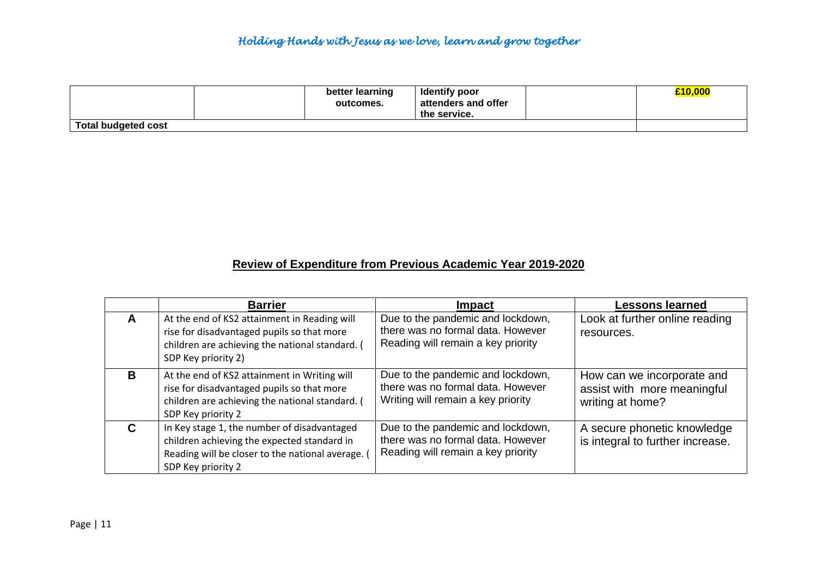# *Holding Hands with Jesus as we love, learn and grow together*

|                     | better learning<br>outcomes. | <b>Identify poor</b><br>attenders and offer<br>the service. | £10,000 |
|---------------------|------------------------------|-------------------------------------------------------------|---------|
| Total budgeted cost |                              |                                                             |         |

# **Review of Expenditure from Previous Academic Year 2019-2020**

|   | <b>Barrier</b>                                                                                                                                                       | Impact                                                                                                       | <b>Lessons learned</b>                                                        |
|---|----------------------------------------------------------------------------------------------------------------------------------------------------------------------|--------------------------------------------------------------------------------------------------------------|-------------------------------------------------------------------------------|
| A | At the end of KS2 attainment in Reading will<br>rise for disadvantaged pupils so that more<br>children are achieving the national standard. (<br>SDP Key priority 2) | Due to the pandemic and lockdown,<br>there was no formal data. However<br>Reading will remain a key priority | Look at further online reading<br>resources.                                  |
| B | At the end of KS2 attainment in Writing will<br>rise for disadvantaged pupils so that more<br>children are achieving the national standard. (<br>SDP Key priority 2  | Due to the pandemic and lockdown,<br>there was no formal data. However<br>Writing will remain a key priority | How can we incorporate and<br>assist with more meaningful<br>writing at home? |
| C | In Key stage 1, the number of disadvantaged<br>children achieving the expected standard in<br>Reading will be closer to the national average.<br>SDP Key priority 2  | Due to the pandemic and lockdown,<br>there was no formal data. However<br>Reading will remain a key priority | A secure phonetic knowledge<br>is integral to further increase.               |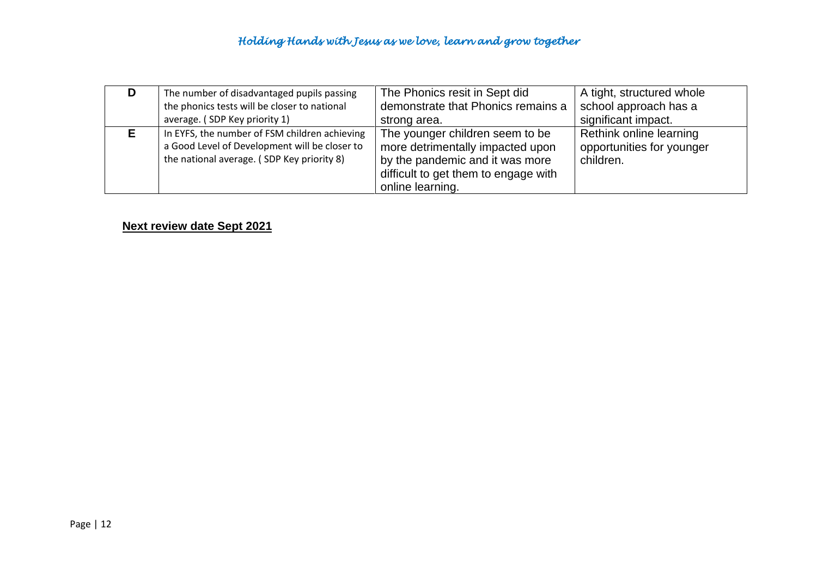| D | The number of disadvantaged pupils passing                                                                                                   | The Phonics resit in Sept did                                                                                                                                      | A tight, structured whole                                         |
|---|----------------------------------------------------------------------------------------------------------------------------------------------|--------------------------------------------------------------------------------------------------------------------------------------------------------------------|-------------------------------------------------------------------|
|   | the phonics tests will be closer to national                                                                                                 | demonstrate that Phonics remains a                                                                                                                                 | school approach has a                                             |
|   | average. (SDP Key priority 1)                                                                                                                | strong area.                                                                                                                                                       | significant impact.                                               |
|   | In EYFS, the number of FSM children achieving<br>a Good Level of Development will be closer to<br>the national average. (SDP Key priority 8) | The younger children seem to be<br>more detrimentally impacted upon<br>by the pandemic and it was more<br>difficult to get them to engage with<br>online learning. | Rethink online learning<br>opportunities for younger<br>children. |

**Next review date Sept 2021**